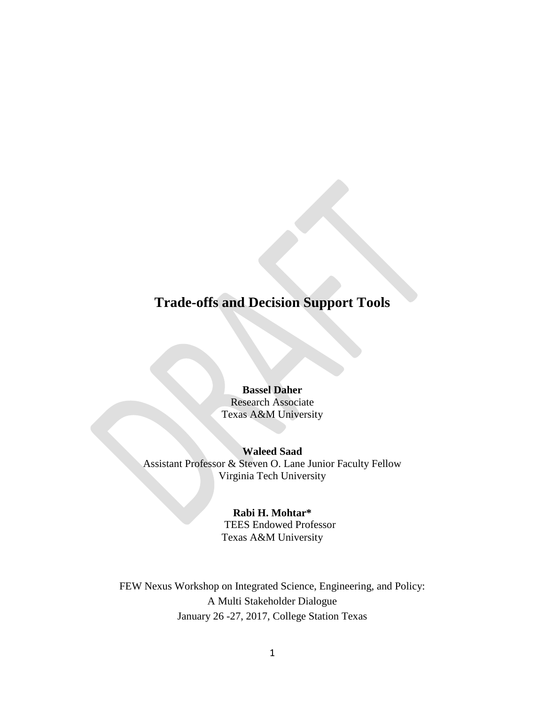# **Trade-offs and Decision Support Tools**

## **Bassel Daher** Research Associate

Texas A&M University

#### **Waleed Saad**

Assistant Professor & Steven O. Lane Junior Faculty Fellow Virginia Tech University

#### **Rabi H. Mohtar\***

TEES Endowed Professor Texas A&M University

FEW Nexus Workshop on Integrated Science, Engineering, and Policy: A Multi Stakeholder Dialogue January 26 -27, 2017, College Station Texas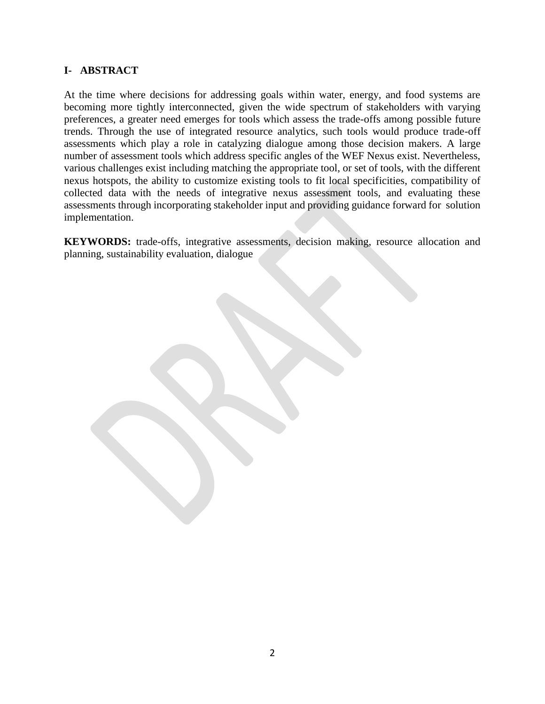#### **I- ABSTRACT**

At the time where decisions for addressing goals within water, energy, and food systems are becoming more tightly interconnected, given the wide spectrum of stakeholders with varying preferences, a greater need emerges for tools which assess the trade-offs among possible future trends. Through the use of integrated resource analytics, such tools would produce trade-off assessments which play a role in catalyzing dialogue among those decision makers. A large number of assessment tools which address specific angles of the WEF Nexus exist. Nevertheless, various challenges exist including matching the appropriate tool, or set of tools, with the different nexus hotspots, the ability to customize existing tools to fit local specificities, compatibility of collected data with the needs of integrative nexus assessment tools, and evaluating these assessments through incorporating stakeholder input and providing guidance forward for solution implementation.

**KEYWORDS:** trade-offs, integrative assessments, decision making, resource allocation and planning, sustainability evaluation, dialogue

2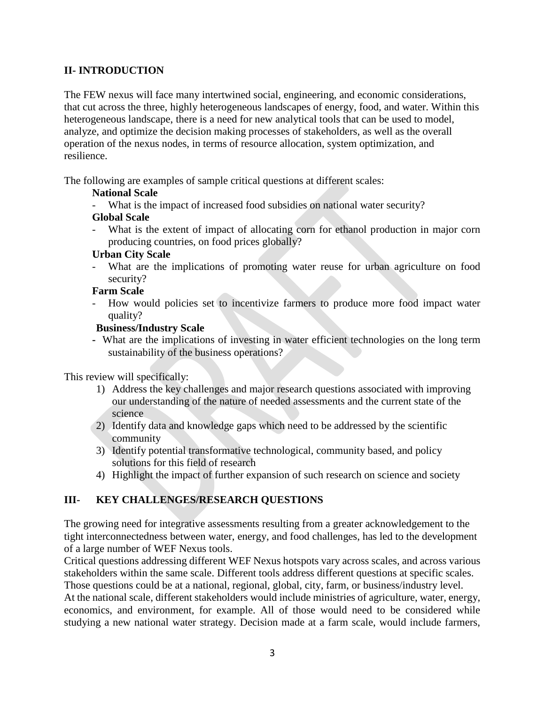## **II- INTRODUCTION**

The FEW nexus will face many intertwined social, engineering, and economic considerations, that cut across the three, highly heterogeneous landscapes of energy, food, and water. Within this heterogeneous landscape, there is a need for new analytical tools that can be used to model, analyze, and optimize the decision making processes of stakeholders, as well as the overall operation of the nexus nodes, in terms of resource allocation, system optimization, and resilience.

The following are examples of sample critical questions at different scales:

#### **National Scale**

What is the impact of increased food subsidies on national water security?

#### **Global Scale**

What is the extent of impact of allocating corn for ethanol production in major corn producing countries, on food prices globally?

#### **Urban City Scale**

What are the implications of promoting water reuse for urban agriculture on food security?

#### **Farm Scale**

How would policies set to incentivize farmers to produce more food impact water quality?

#### **Business/Industry Scale**

**-** What are the implications of investing in water efficient technologies on the long term sustainability of the business operations?

This review will specifically:

- 1) Address the key challenges and major research questions associated with improving our understanding of the nature of needed assessments and the current state of the science
- 2) Identify data and knowledge gaps which need to be addressed by the scientific community
- 3) Identify potential transformative technological, community based, and policy solutions for this field of research
- 4) Highlight the impact of further expansion of such research on science and society

#### **III- KEY CHALLENGES/RESEARCH QUESTIONS**

The growing need for integrative assessments resulting from a greater acknowledgement to the tight interconnectedness between water, energy, and food challenges, has led to the development of a large number of WEF Nexus tools.

Critical questions addressing different WEF Nexus hotspots vary across scales, and across various stakeholders within the same scale. Different tools address different questions at specific scales. Those questions could be at a national, regional, global, city, farm, or business/industry level. At the national scale, different stakeholders would include ministries of agriculture, water, energy, economics, and environment, for example. All of those would need to be considered while studying a new national water strategy. Decision made at a farm scale, would include farmers,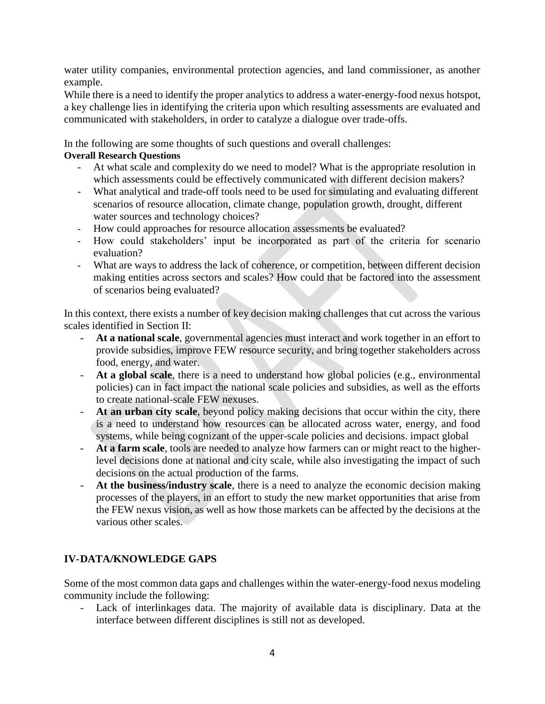water utility companies, environmental protection agencies, and land commissioner, as another example.

While there is a need to identify the proper analytics to address a water-energy-food nexus hotspot, a key challenge lies in identifying the criteria upon which resulting assessments are evaluated and communicated with stakeholders, in order to catalyze a dialogue over trade-offs.

In the following are some thoughts of such questions and overall challenges:

#### **Overall Research Questions**

- At what scale and complexity do we need to model? What is the appropriate resolution in which assessments could be effectively communicated with different decision makers?
- What analytical and trade-off tools need to be used for simulating and evaluating different scenarios of resource allocation, climate change, population growth, drought, different water sources and technology choices?
- How could approaches for resource allocation assessments be evaluated?
- How could stakeholders' input be incorporated as part of the criteria for scenario evaluation?
- What are ways to address the lack of coherence, or competition, between different decision making entities across sectors and scales? How could that be factored into the assessment of scenarios being evaluated?

In this context, there exists a number of key decision making challenges that cut across the various scales identified in Section II:

- At a national scale, governmental agencies must interact and work together in an effort to provide subsidies, improve FEW resource security, and bring together stakeholders across food, energy, and water.
- At a global scale, there is a need to understand how global policies (e.g., environmental policies) can in fact impact the national scale policies and subsidies, as well as the efforts to create national-scale FEW nexuses.
- **At an urban city scale**, beyond policy making decisions that occur within the city, there is a need to understand how resources can be allocated across water, energy, and food systems, while being cognizant of the upper-scale policies and decisions. impact global
- **At a farm scale**, tools are needed to analyze how farmers can or might react to the higherlevel decisions done at national and city scale, while also investigating the impact of such decisions on the actual production of the farms.
- **At the business/industry scale**, there is a need to analyze the economic decision making processes of the players, in an effort to study the new market opportunities that arise from the FEW nexus vision, as well as how those markets can be affected by the decisions at the various other scales.

## **IV-DATA/KNOWLEDGE GAPS**

Some of the most common data gaps and challenges within the water-energy-food nexus modeling community include the following:

- Lack of interlinkages data. The majority of available data is disciplinary. Data at the interface between different disciplines is still not as developed.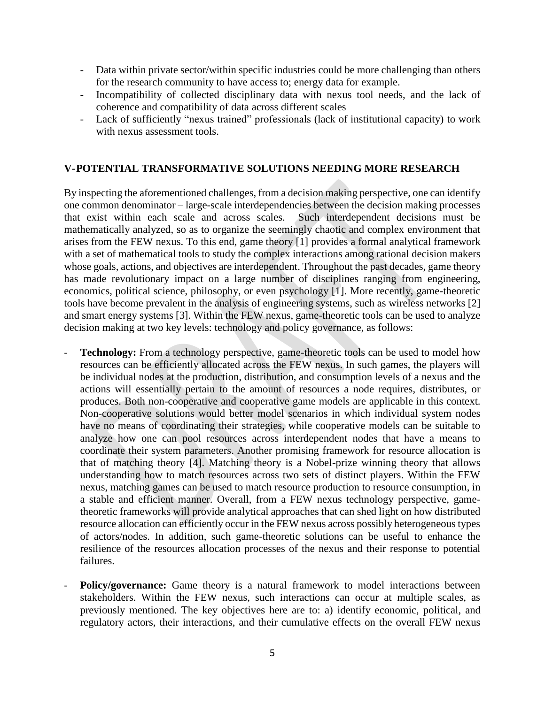- Data within private sector/within specific industries could be more challenging than others for the research community to have access to; energy data for example.
- Incompatibility of collected disciplinary data with nexus tool needs, and the lack of coherence and compatibility of data across different scales
- Lack of sufficiently "nexus trained" professionals (lack of institutional capacity) to work with nexus assessment tools.

#### **V-POTENTIAL TRANSFORMATIVE SOLUTIONS NEEDING MORE RESEARCH**

By inspecting the aforementioned challenges, from a decision making perspective, one can identify one common denominator – large-scale interdependencies between the decision making processes that exist within each scale and across scales. Such interdependent decisions must be mathematically analyzed, so as to organize the seemingly chaotic and complex environment that arises from the FEW nexus. To this end, game theory [1] provides a formal analytical framework with a set of mathematical tools to study the complex interactions among rational decision makers whose goals, actions, and objectives are interdependent. Throughout the past decades, game theory has made revolutionary impact on a large number of disciplines ranging from engineering, economics, political science, philosophy, or even psychology [1]. More recently, game-theoretic tools have become prevalent in the analysis of engineering systems, such as wireless networks [2] and smart energy systems [3]. Within the FEW nexus, game-theoretic tools can be used to analyze decision making at two key levels: technology and policy governance, as follows:

- **Technology:** From a technology perspective, game-theoretic tools can be used to model how resources can be efficiently allocated across the FEW nexus. In such games, the players will be individual nodes at the production, distribution, and consumption levels of a nexus and the actions will essentially pertain to the amount of resources a node requires, distributes, or produces. Both non-cooperative and cooperative game models are applicable in this context. Non-cooperative solutions would better model scenarios in which individual system nodes have no means of coordinating their strategies, while cooperative models can be suitable to analyze how one can pool resources across interdependent nodes that have a means to coordinate their system parameters. Another promising framework for resource allocation is that of matching theory [4]. Matching theory is a Nobel-prize winning theory that allows understanding how to match resources across two sets of distinct players. Within the FEW nexus, matching games can be used to match resource production to resource consumption, in a stable and efficient manner. Overall, from a FEW nexus technology perspective, gametheoretic frameworks will provide analytical approaches that can shed light on how distributed resource allocation can efficiently occur in the FEW nexus across possibly heterogeneous types of actors/nodes. In addition, such game-theoretic solutions can be useful to enhance the resilience of the resources allocation processes of the nexus and their response to potential failures.
- **Policy/governance:** Game theory is a natural framework to model interactions between stakeholders. Within the FEW nexus, such interactions can occur at multiple scales, as previously mentioned. The key objectives here are to: a) identify economic, political, and regulatory actors, their interactions, and their cumulative effects on the overall FEW nexus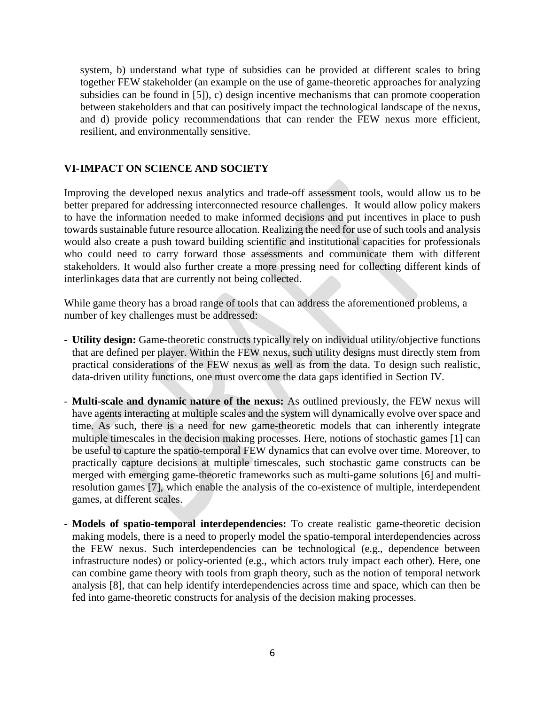system, b) understand what type of subsidies can be provided at different scales to bring together FEW stakeholder (an example on the use of game-theoretic approaches for analyzing subsidies can be found in [5]), c) design incentive mechanisms that can promote cooperation between stakeholders and that can positively impact the technological landscape of the nexus, and d) provide policy recommendations that can render the FEW nexus more efficient, resilient, and environmentally sensitive.

#### **VI-IMPACT ON SCIENCE AND SOCIETY**

Improving the developed nexus analytics and trade-off assessment tools, would allow us to be better prepared for addressing interconnected resource challenges. It would allow policy makers to have the information needed to make informed decisions and put incentives in place to push towards sustainable future resource allocation. Realizing the need for use of such tools and analysis would also create a push toward building scientific and institutional capacities for professionals who could need to carry forward those assessments and communicate them with different stakeholders. It would also further create a more pressing need for collecting different kinds of interlinkages data that are currently not being collected.

While game theory has a broad range of tools that can address the aforementioned problems, a number of key challenges must be addressed:

- **Utility design:** Game-theoretic constructs typically rely on individual utility/objective functions that are defined per player. Within the FEW nexus, such utility designs must directly stem from practical considerations of the FEW nexus as well as from the data. To design such realistic, data-driven utility functions, one must overcome the data gaps identified in Section IV.
- **Multi-scale and dynamic nature of the nexus:** As outlined previously, the FEW nexus will have agents interacting at multiple scales and the system will dynamically evolve over space and time. As such, there is a need for new game-theoretic models that can inherently integrate multiple timescales in the decision making processes. Here, notions of stochastic games [1] can be useful to capture the spatio-temporal FEW dynamics that can evolve over time. Moreover, to practically capture decisions at multiple timescales, such stochastic game constructs can be merged with emerging game-theoretic frameworks such as multi-game solutions [6] and multiresolution games [7], which enable the analysis of the co-existence of multiple, interdependent games, at different scales.
- **Models of spatio-temporal interdependencies:** To create realistic game-theoretic decision making models, there is a need to properly model the spatio-temporal interdependencies across the FEW nexus. Such interdependencies can be technological (e.g., dependence between infrastructure nodes) or policy-oriented (e.g., which actors truly impact each other). Here, one can combine game theory with tools from graph theory, such as the notion of temporal network analysis [8], that can help identify interdependencies across time and space, which can then be fed into game-theoretic constructs for analysis of the decision making processes.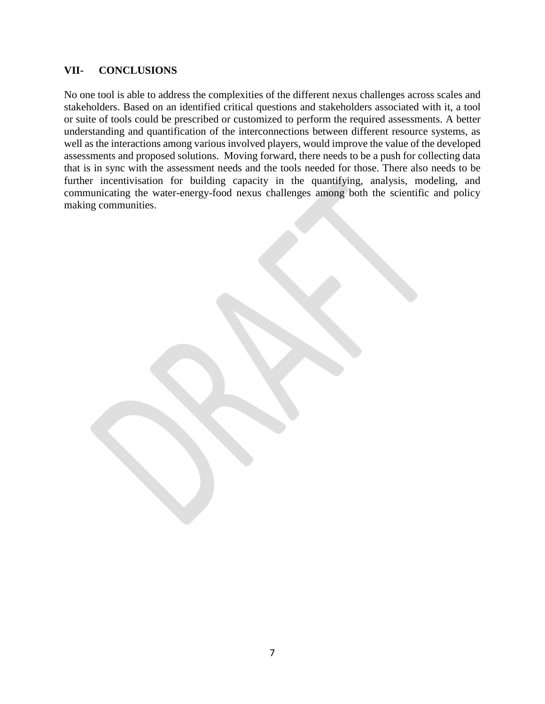#### **VII- CONCLUSIONS**

No one tool is able to address the complexities of the different nexus challenges across scales and stakeholders. Based on an identified critical questions and stakeholders associated with it, a tool or suite of tools could be prescribed or customized to perform the required assessments. A better understanding and quantification of the interconnections between different resource systems, as well as the interactions among various involved players, would improve the value of the developed assessments and proposed solutions. Moving forward, there needs to be a push for collecting data that is in sync with the assessment needs and the tools needed for those. There also needs to be further incentivisation for building capacity in the quantifying, analysis, modeling, and communicating the water-energy-food nexus challenges among both the scientific and policy making communities.